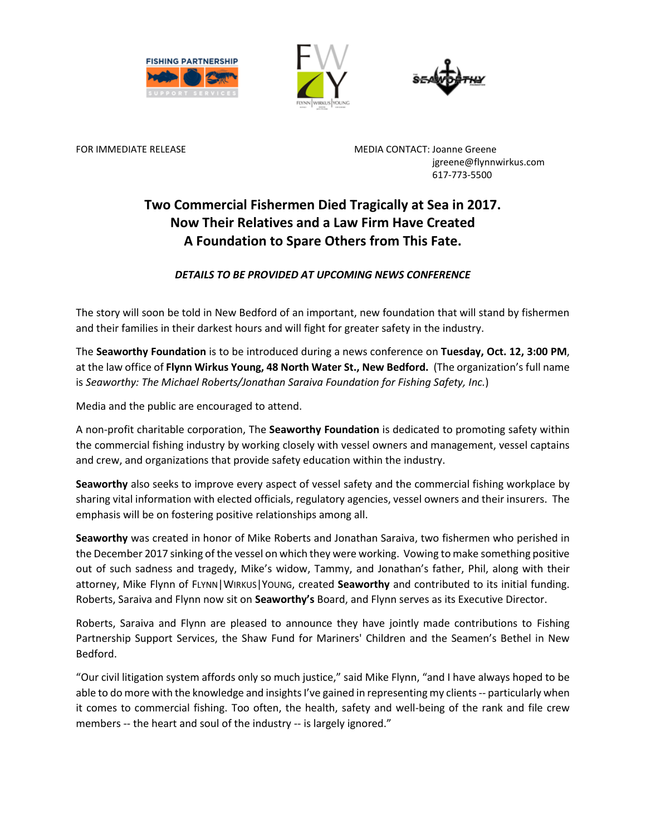





FOR IMMEDIATE RELEASE MEDIA CONTACT: Joanne Greene jgreene@flynnwirkus.com 617-773-5500

# **Two Commercial Fishermen Died Tragically at Sea in 2017. Now Their Relatives and a Law Firm Have Created A Foundation to Spare Others from This Fate.**

## *DETAILS TO BE PROVIDED AT UPCOMING NEWS CONFERENCE*

The story will soon be told in New Bedford of an important, new foundation that will stand by fishermen and their families in their darkest hours and will fight for greater safety in the industry.

The **Seaworthy Foundation** is to be introduced during a news conference on **Tuesday, Oct. 12, 3:00 PM**, at the law office of **Flynn Wirkus Young, 48 North Water St., New Bedford.** (The organization's full name is *Seaworthy: The Michael Roberts/Jonathan Saraiva Foundation for Fishing Safety, Inc.*)

Media and the public are encouraged to attend.

A non-profit charitable corporation, The **Seaworthy Foundation** is dedicated to promoting safety within the commercial fishing industry by working closely with vessel owners and management, vessel captains and crew, and organizations that provide safety education within the industry.

**Seaworthy** also seeks to improve every aspect of vessel safety and the commercial fishing workplace by sharing vital information with elected officials, regulatory agencies, vessel owners and their insurers. The emphasis will be on fostering positive relationships among all.

**Seaworthy** was created in honor of Mike Roberts and Jonathan Saraiva, two fishermen who perished in the December 2017 sinking of the vessel on which they were working. Vowing to make something positive out of such sadness and tragedy, Mike's widow, Tammy, and Jonathan's father, Phil, along with their attorney, Mike Flynn of FLYNN|WIRKUS|YOUNG, created **Seaworthy** and contributed to its initial funding. Roberts, Saraiva and Flynn now sit on **Seaworthy's** Board, and Flynn serves as its Executive Director.

Roberts, Saraiva and Flynn are pleased to announce they have jointly made contributions to Fishing Partnership Support Services, the Shaw Fund for Mariners' Children and the Seamen's Bethel in New Bedford.

"Our civil litigation system affords only so much justice," said Mike Flynn, "and I have always hoped to be able to do more with the knowledge and insights I've gained in representing my clients -- particularly when it comes to commercial fishing. Too often, the health, safety and well-being of the rank and file crew members -- the heart and soul of the industry -- is largely ignored."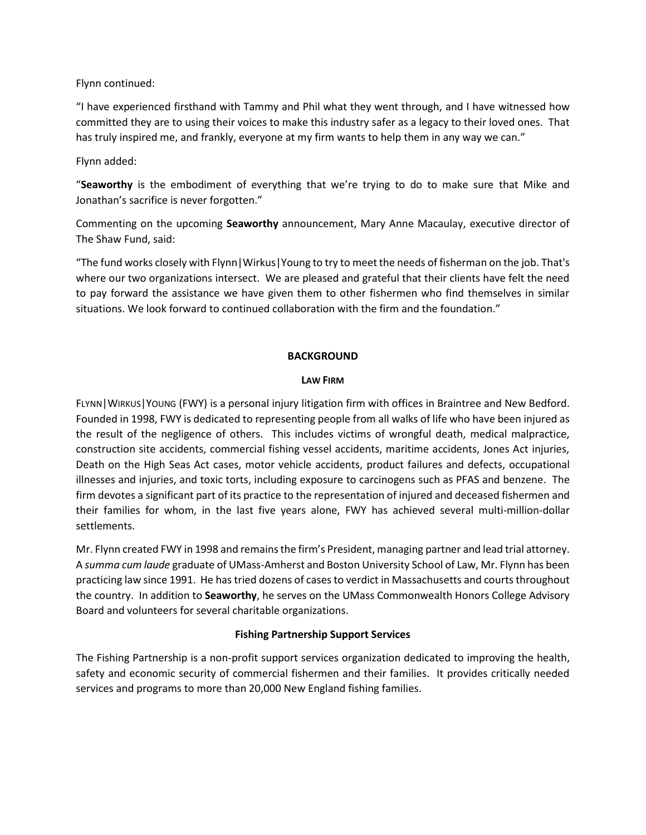Flynn continued:

"I have experienced firsthand with Tammy and Phil what they went through, and I have witnessed how committed they are to using their voices to make this industry safer as a legacy to their loved ones. That has truly inspired me, and frankly, everyone at my firm wants to help them in any way we can."

Flynn added:

"**Seaworthy** is the embodiment of everything that we're trying to do to make sure that Mike and Jonathan's sacrifice is never forgotten."

Commenting on the upcoming **Seaworthy** announcement, Mary Anne Macaulay, executive director of The Shaw Fund, said:

"The fund works closely with Flynn|Wirkus|Young to try to meet the needs of fisherman on the job. That's where our two organizations intersect. We are pleased and grateful that their clients have felt the need to pay forward the assistance we have given them to other fishermen who find themselves in similar situations. We look forward to continued collaboration with the firm and the foundation."

### **BACKGROUND**

#### **LAW FIRM**

FLYNN|WIRKUS|YOUNG (FWY) is a personal injury litigation firm with offices in Braintree and New Bedford. Founded in 1998, FWY is dedicated to representing people from all walks of life who have been injured as the result of the negligence of others. This includes victims of wrongful death, medical malpractice, construction site accidents, commercial fishing vessel accidents, maritime accidents, Jones Act injuries, Death on the High Seas Act cases, motor vehicle accidents, product failures and defects, occupational illnesses and injuries, and toxic torts, including exposure to carcinogens such as PFAS and benzene. The firm devotes a significant part of its practice to the representation of injured and deceased fishermen and their families for whom, in the last five years alone, FWY has achieved several multi-million-dollar settlements.

Mr. Flynn created FWY in 1998 and remains the firm's President, managing partner and lead trial attorney. A *summa cum laude* graduate of UMass-Amherst and Boston University School of Law, Mr. Flynn has been practicing law since 1991. He has tried dozens of cases to verdict in Massachusetts and courts throughout the country. In addition to **Seaworthy**, he serves on the UMass Commonwealth Honors College Advisory Board and volunteers for several charitable organizations.

#### **Fishing Partnership Support Services**

The Fishing Partnership is a non-profit support services organization dedicated to improving the health, safety and economic security of commercial fishermen and their families. It provides critically needed services and programs to more than 20,000 New England fishing families.